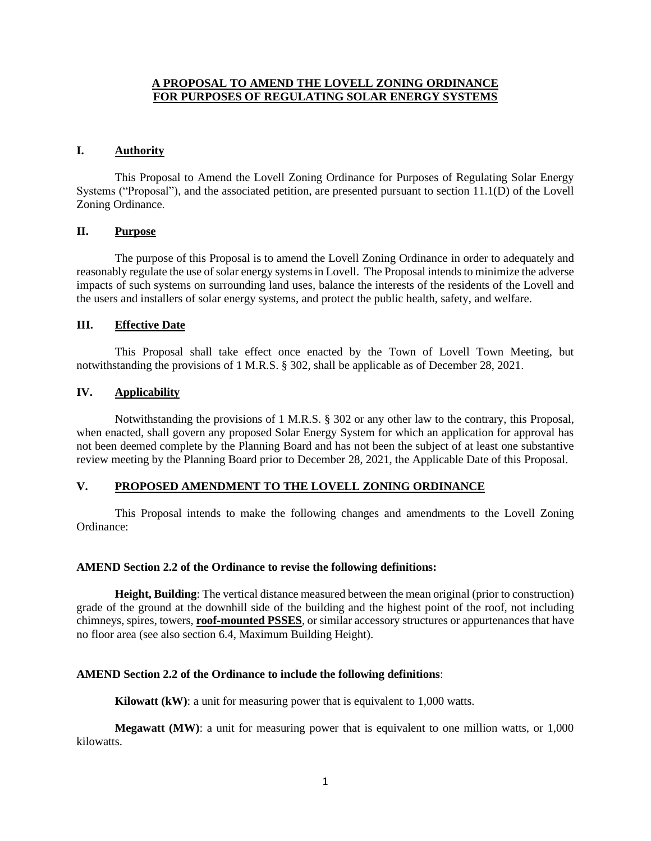## **A PROPOSAL TO AMEND THE LOVELL ZONING ORDINANCE FOR PURPOSES OF REGULATING SOLAR ENERGY SYSTEMS**

#### **I. Authority**

This Proposal to Amend the Lovell Zoning Ordinance for Purposes of Regulating Solar Energy Systems ("Proposal"), and the associated petition, are presented pursuant to section 11.1(D) of the Lovell Zoning Ordinance.

### **II. Purpose**

The purpose of this Proposal is to amend the Lovell Zoning Ordinance in order to adequately and reasonably regulate the use of solar energy systems in Lovell. The Proposal intends to minimize the adverse impacts of such systems on surrounding land uses, balance the interests of the residents of the Lovell and the users and installers of solar energy systems, and protect the public health, safety, and welfare.

### **III. Effective Date**

This Proposal shall take effect once enacted by the Town of Lovell Town Meeting, but notwithstanding the provisions of 1 M.R.S. § 302, shall be applicable as of December 28, 2021.

### **IV. Applicability**

Notwithstanding the provisions of 1 M.R.S. § 302 or any other law to the contrary, this Proposal, when enacted, shall govern any proposed Solar Energy System for which an application for approval has not been deemed complete by the Planning Board and has not been the subject of at least one substantive review meeting by the Planning Board prior to December 28, 2021, the Applicable Date of this Proposal.

## **V. PROPOSED AMENDMENT TO THE LOVELL ZONING ORDINANCE**

This Proposal intends to make the following changes and amendments to the Lovell Zoning Ordinance:

#### **AMEND Section 2.2 of the Ordinance to revise the following definitions:**

**Height, Building**: The vertical distance measured between the mean original (prior to construction) grade of the ground at the downhill side of the building and the highest point of the roof, not including chimneys, spires, towers, **roof-mounted PSSES**, or similar accessory structures or appurtenances that have no floor area (see also section 6.4, Maximum Building Height).

## **AMEND Section 2.2 of the Ordinance to include the following definitions**:

**Kilowatt (kW)**: a unit for measuring power that is equivalent to 1,000 watts.

**Megawatt (MW):** a unit for measuring power that is equivalent to one million watts, or 1,000 kilowatts.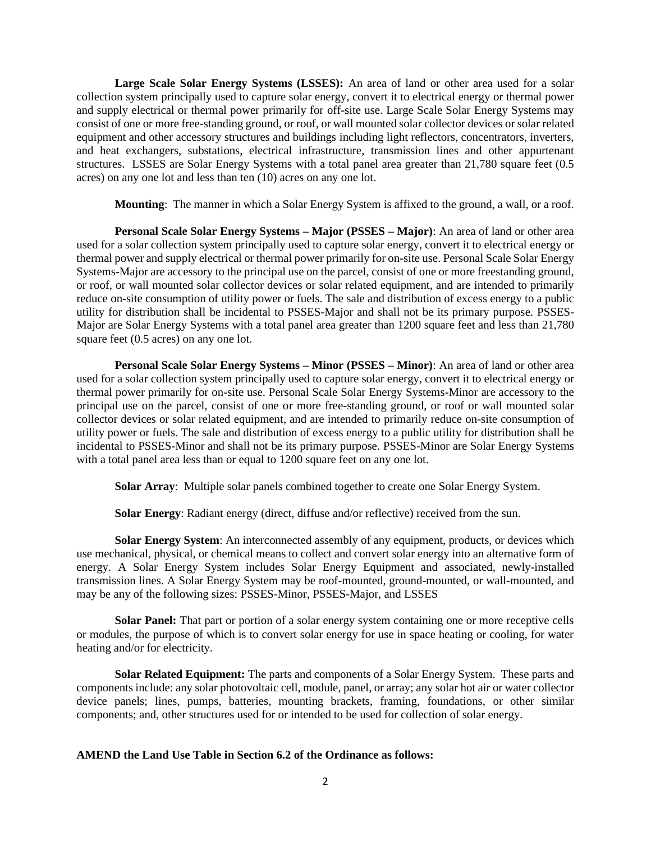**Large Scale Solar Energy Systems (LSSES):** An area of land or other area used for a solar collection system principally used to capture solar energy, convert it to electrical energy or thermal power and supply electrical or thermal power primarily for off-site use. Large Scale Solar Energy Systems may consist of one or more free-standing ground, or roof, or wall mounted solar collector devices or solar related equipment and other accessory structures and buildings including light reflectors, concentrators, inverters, and heat exchangers, substations, electrical infrastructure, transmission lines and other appurtenant structures. LSSES are Solar Energy Systems with a total panel area greater than 21,780 square feet (0.5 acres) on any one lot and less than ten (10) acres on any one lot.

**Mounting**: The manner in which a Solar Energy System is affixed to the ground, a wall, or a roof.

**Personal Scale Solar Energy Systems – Major (PSSES – Major)**: An area of land or other area used for a solar collection system principally used to capture solar energy, convert it to electrical energy or thermal power and supply electrical or thermal power primarily for on-site use. Personal Scale Solar Energy Systems-Major are accessory to the principal use on the parcel, consist of one or more freestanding ground, or roof, or wall mounted solar collector devices or solar related equipment, and are intended to primarily reduce on-site consumption of utility power or fuels. The sale and distribution of excess energy to a public utility for distribution shall be incidental to PSSES-Major and shall not be its primary purpose. PSSES-Major are Solar Energy Systems with a total panel area greater than 1200 square feet and less than 21,780 square feet (0.5 acres) on any one lot.

**Personal Scale Solar Energy Systems – Minor (PSSES – Minor)**: An area of land or other area used for a solar collection system principally used to capture solar energy, convert it to electrical energy or thermal power primarily for on-site use. Personal Scale Solar Energy Systems-Minor are accessory to the principal use on the parcel, consist of one or more free-standing ground, or roof or wall mounted solar collector devices or solar related equipment, and are intended to primarily reduce on-site consumption of utility power or fuels. The sale and distribution of excess energy to a public utility for distribution shall be incidental to PSSES-Minor and shall not be its primary purpose. PSSES-Minor are Solar Energy Systems with a total panel area less than or equal to 1200 square feet on any one lot.

**Solar Array**: Multiple solar panels combined together to create one Solar Energy System.

**Solar Energy**: Radiant energy (direct, diffuse and/or reflective) received from the sun.

**Solar Energy System:** An interconnected assembly of any equipment, products, or devices which use mechanical, physical, or chemical means to collect and convert solar energy into an alternative form of energy. A Solar Energy System includes Solar Energy Equipment and associated, newly-installed transmission lines. A Solar Energy System may be roof-mounted, ground-mounted, or wall-mounted, and may be any of the following sizes: PSSES-Minor, PSSES-Major, and LSSES

**Solar Panel:** That part or portion of a solar energy system containing one or more receptive cells or modules, the purpose of which is to convert solar energy for use in space heating or cooling, for water heating and/or for electricity.

**Solar Related Equipment:** The parts and components of a Solar Energy System. These parts and components include: any solar photovoltaic cell, module, panel, or array; any solar hot air or water collector device panels; lines, pumps, batteries, mounting brackets, framing, foundations, or other similar components; and, other structures used for or intended to be used for collection of solar energy.

# **AMEND the Land Use Table in Section 6.2 of the Ordinance as follows:**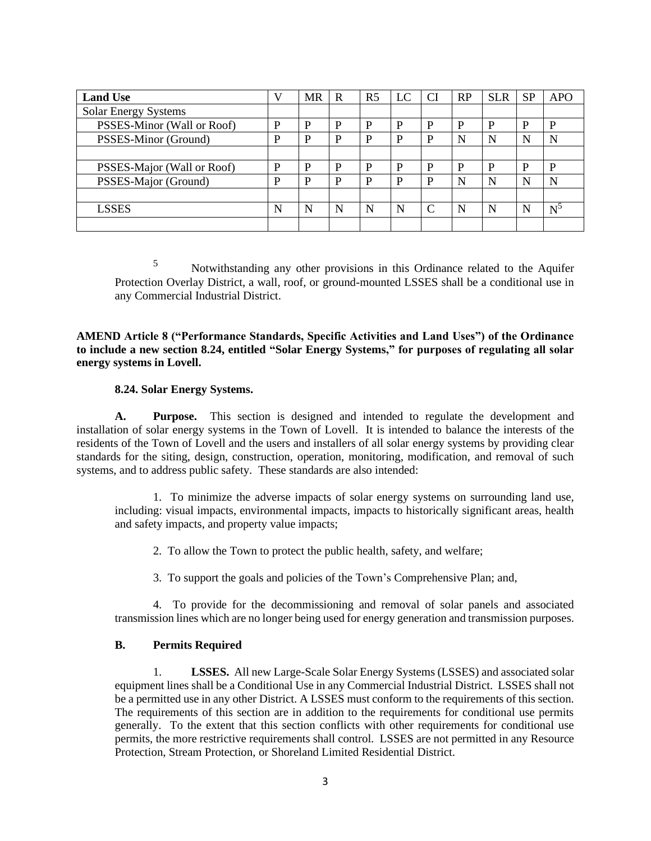| <b>Land Use</b>            |   | <b>MR</b> | R | R <sub>5</sub> | LC | <b>CI</b> | <b>RP</b> | <b>SLR</b> | <b>SP</b> | <b>APO</b>     |
|----------------------------|---|-----------|---|----------------|----|-----------|-----------|------------|-----------|----------------|
| Solar Energy Systems       |   |           |   |                |    |           |           |            |           |                |
| PSSES-Minor (Wall or Roof) | P | P         | P | D              | P  | D         | D         | D          | D         | P              |
| PSSES-Minor (Ground)       | P | P         | P | D              | D  | D         | N         | N          | N         | N              |
|                            |   |           |   |                |    |           |           |            |           |                |
| PSSES-Major (Wall or Roof) | P | P         | P | D              | D  | D         | D         | D          | P         | P              |
| PSSES-Major (Ground)       | P | P         | P | D              | P  | P         | N         | N          | N         | N              |
|                            |   |           |   |                |    |           |           |            |           |                |
| <b>LSSES</b>               | N | N         | N | N              | N  | C         | N         | N          | N         | $\mathrm{N}^5$ |
|                            |   |           |   |                |    |           |           |            |           |                |

<sup>5</sup> Notwithstanding any other provisions in this Ordinance related to the Aquifer Protection Overlay District, a wall, roof, or ground-mounted LSSES shall be a conditional use in any Commercial Industrial District.

**AMEND Article 8 ("Performance Standards, Specific Activities and Land Uses") of the Ordinance to include a new section 8.24, entitled "Solar Energy Systems," for purposes of regulating all solar energy systems in Lovell.**

### **8.24. Solar Energy Systems.**

**A. Purpose.** This section is designed and intended to regulate the development and installation of solar energy systems in the Town of Lovell. It is intended to balance the interests of the residents of the Town of Lovell and the users and installers of all solar energy systems by providing clear standards for the siting, design, construction, operation, monitoring, modification, and removal of such systems, and to address public safety. These standards are also intended:

1. To minimize the adverse impacts of solar energy systems on surrounding land use, including: visual impacts, environmental impacts, impacts to historically significant areas, health and safety impacts, and property value impacts;

2. To allow the Town to protect the public health, safety, and welfare;

3. To support the goals and policies of the Town's Comprehensive Plan; and,

4. To provide for the decommissioning and removal of solar panels and associated transmission lines which are no longer being used for energy generation and transmission purposes.

## **B. Permits Required**

1. **LSSES.** All new Large-Scale Solar Energy Systems (LSSES) and associated solar equipment lines shall be a Conditional Use in any Commercial Industrial District. LSSES shall not be a permitted use in any other District. A LSSES must conform to the requirements of this section. The requirements of this section are in addition to the requirements for conditional use permits generally. To the extent that this section conflicts with other requirements for conditional use permits, the more restrictive requirements shall control. LSSES are not permitted in any Resource Protection, Stream Protection, or Shoreland Limited Residential District.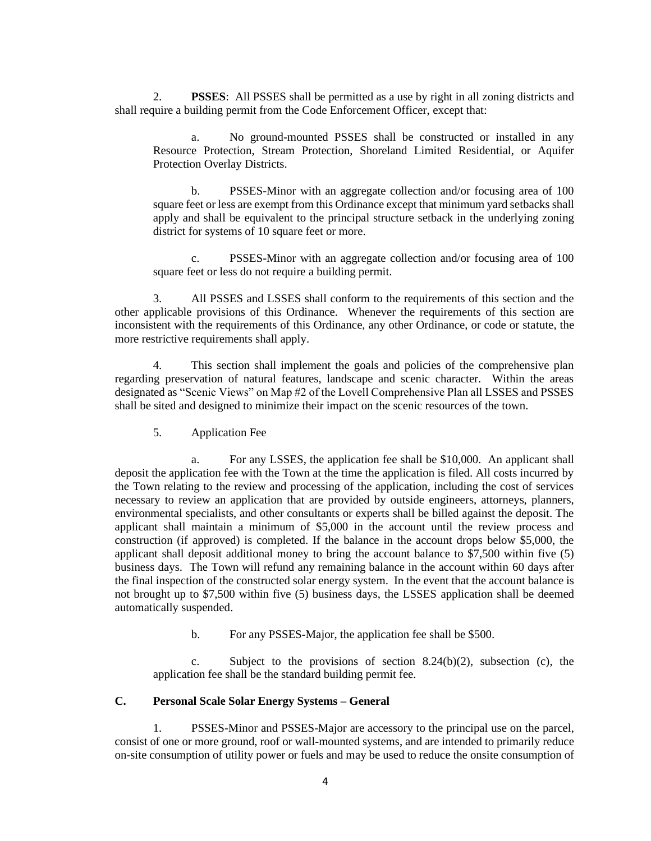2. **PSSES**: All PSSES shall be permitted as a use by right in all zoning districts and shall require a building permit from the Code Enforcement Officer, except that:

a. No ground-mounted PSSES shall be constructed or installed in any Resource Protection, Stream Protection, Shoreland Limited Residential, or Aquifer Protection Overlay Districts.

b. PSSES-Minor with an aggregate collection and/or focusing area of 100 square feet or less are exempt from this Ordinance except that minimum yard setbacks shall apply and shall be equivalent to the principal structure setback in the underlying zoning district for systems of 10 square feet or more.

c. PSSES-Minor with an aggregate collection and/or focusing area of 100 square feet or less do not require a building permit.

3. All PSSES and LSSES shall conform to the requirements of this section and the other applicable provisions of this Ordinance. Whenever the requirements of this section are inconsistent with the requirements of this Ordinance, any other Ordinance, or code or statute, the more restrictive requirements shall apply.

4. This section shall implement the goals and policies of the comprehensive plan regarding preservation of natural features, landscape and scenic character. Within the areas designated as "Scenic Views" on Map #2 of the Lovell Comprehensive Plan all LSSES and PSSES shall be sited and designed to minimize their impact on the scenic resources of the town.

5. Application Fee

a. For any LSSES, the application fee shall be \$10,000. An applicant shall deposit the application fee with the Town at the time the application is filed. All costs incurred by the Town relating to the review and processing of the application, including the cost of services necessary to review an application that are provided by outside engineers, attorneys, planners, environmental specialists, and other consultants or experts shall be billed against the deposit. The applicant shall maintain a minimum of \$5,000 in the account until the review process and construction (if approved) is completed. If the balance in the account drops below \$5,000, the applicant shall deposit additional money to bring the account balance to \$7,500 within five (5) business days. The Town will refund any remaining balance in the account within 60 days after the final inspection of the constructed solar energy system. In the event that the account balance is not brought up to \$7,500 within five (5) business days, the LSSES application shall be deemed automatically suspended.

b. For any PSSES-Major, the application fee shall be \$500.

c. Subject to the provisions of section  $8.24(b)(2)$ , subsection (c), the application fee shall be the standard building permit fee.

#### **C. Personal Scale Solar Energy Systems – General**

1. PSSES-Minor and PSSES-Major are accessory to the principal use on the parcel, consist of one or more ground, roof or wall-mounted systems, and are intended to primarily reduce on-site consumption of utility power or fuels and may be used to reduce the onsite consumption of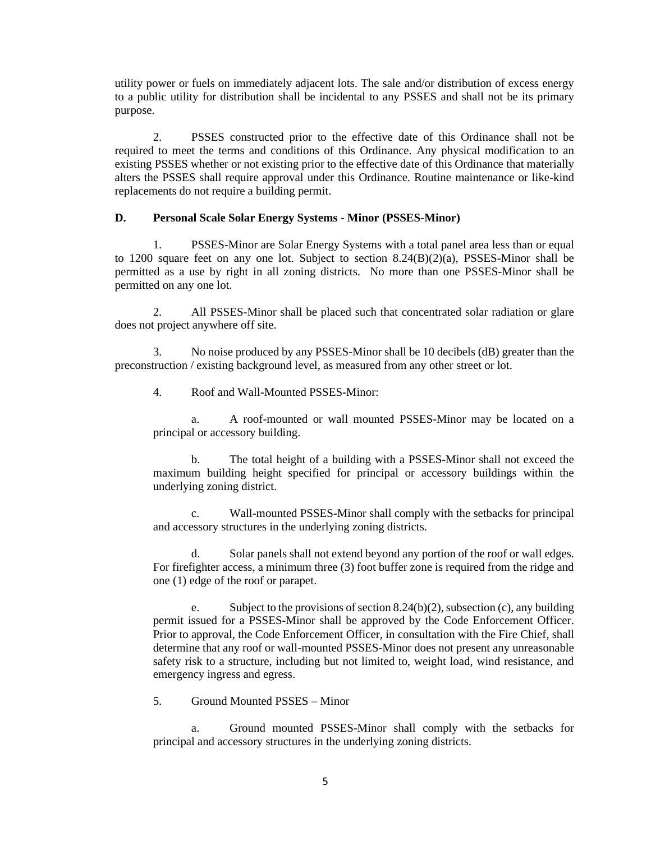utility power or fuels on immediately adjacent lots. The sale and/or distribution of excess energy to a public utility for distribution shall be incidental to any PSSES and shall not be its primary purpose.

2. PSSES constructed prior to the effective date of this Ordinance shall not be required to meet the terms and conditions of this Ordinance. Any physical modification to an existing PSSES whether or not existing prior to the effective date of this Ordinance that materially alters the PSSES shall require approval under this Ordinance. Routine maintenance or like-kind replacements do not require a building permit.

#### **D. Personal Scale Solar Energy Systems - Minor (PSSES-Minor)**

1. PSSES-Minor are Solar Energy Systems with a total panel area less than or equal to 1200 square feet on any one lot. Subject to section  $8.24(B)(2)(a)$ , PSSES-Minor shall be permitted as a use by right in all zoning districts. No more than one PSSES-Minor shall be permitted on any one lot.

2. All PSSES-Minor shall be placed such that concentrated solar radiation or glare does not project anywhere off site.

3. No noise produced by any PSSES-Minor shall be 10 decibels (dB) greater than the preconstruction / existing background level, as measured from any other street or lot.

4. Roof and Wall-Mounted PSSES-Minor:

a. A roof-mounted or wall mounted PSSES-Minor may be located on a principal or accessory building.

b. The total height of a building with a PSSES-Minor shall not exceed the maximum building height specified for principal or accessory buildings within the underlying zoning district.

c. Wall-mounted PSSES-Minor shall comply with the setbacks for principal and accessory structures in the underlying zoning districts.

d. Solar panels shall not extend beyond any portion of the roof or wall edges. For firefighter access, a minimum three (3) foot buffer zone is required from the ridge and one (1) edge of the roof or parapet.

e. Subject to the provisions of section 8.24(b)(2), subsection (c), any building permit issued for a PSSES-Minor shall be approved by the Code Enforcement Officer. Prior to approval, the Code Enforcement Officer, in consultation with the Fire Chief, shall determine that any roof or wall-mounted PSSES-Minor does not present any unreasonable safety risk to a structure, including but not limited to, weight load, wind resistance, and emergency ingress and egress.

5. Ground Mounted PSSES – Minor

a. Ground mounted PSSES-Minor shall comply with the setbacks for principal and accessory structures in the underlying zoning districts.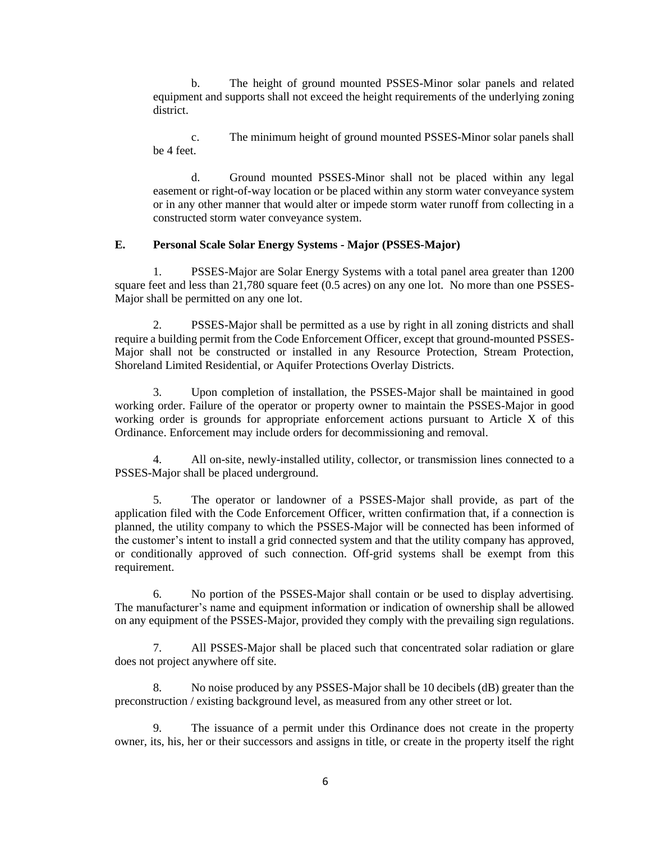b. The height of ground mounted PSSES-Minor solar panels and related equipment and supports shall not exceed the height requirements of the underlying zoning district.

c. The minimum height of ground mounted PSSES-Minor solar panels shall be 4 feet.

d. Ground mounted PSSES-Minor shall not be placed within any legal easement or right-of-way location or be placed within any storm water conveyance system or in any other manner that would alter or impede storm water runoff from collecting in a constructed storm water conveyance system.

### **E. Personal Scale Solar Energy Systems - Major (PSSES-Major)**

1. PSSES-Major are Solar Energy Systems with a total panel area greater than 1200 square feet and less than 21,780 square feet (0.5 acres) on any one lot. No more than one PSSES-Major shall be permitted on any one lot.

2. PSSES-Major shall be permitted as a use by right in all zoning districts and shall require a building permit from the Code Enforcement Officer, except that ground-mounted PSSES-Major shall not be constructed or installed in any Resource Protection, Stream Protection, Shoreland Limited Residential, or Aquifer Protections Overlay Districts.

3. Upon completion of installation, the PSSES-Major shall be maintained in good working order. Failure of the operator or property owner to maintain the PSSES-Major in good working order is grounds for appropriate enforcement actions pursuant to Article X of this Ordinance. Enforcement may include orders for decommissioning and removal.

4. All on-site, newly-installed utility, collector, or transmission lines connected to a PSSES-Major shall be placed underground.

5. The operator or landowner of a PSSES-Major shall provide, as part of the application filed with the Code Enforcement Officer, written confirmation that, if a connection is planned, the utility company to which the PSSES-Major will be connected has been informed of the customer's intent to install a grid connected system and that the utility company has approved, or conditionally approved of such connection. Off-grid systems shall be exempt from this requirement.

6. No portion of the PSSES-Major shall contain or be used to display advertising. The manufacturer's name and equipment information or indication of ownership shall be allowed on any equipment of the PSSES-Major, provided they comply with the prevailing sign regulations.

All PSSES-Major shall be placed such that concentrated solar radiation or glare does not project anywhere off site.

8. No noise produced by any PSSES-Major shall be 10 decibels (dB) greater than the preconstruction / existing background level, as measured from any other street or lot.

9. The issuance of a permit under this Ordinance does not create in the property owner, its, his, her or their successors and assigns in title, or create in the property itself the right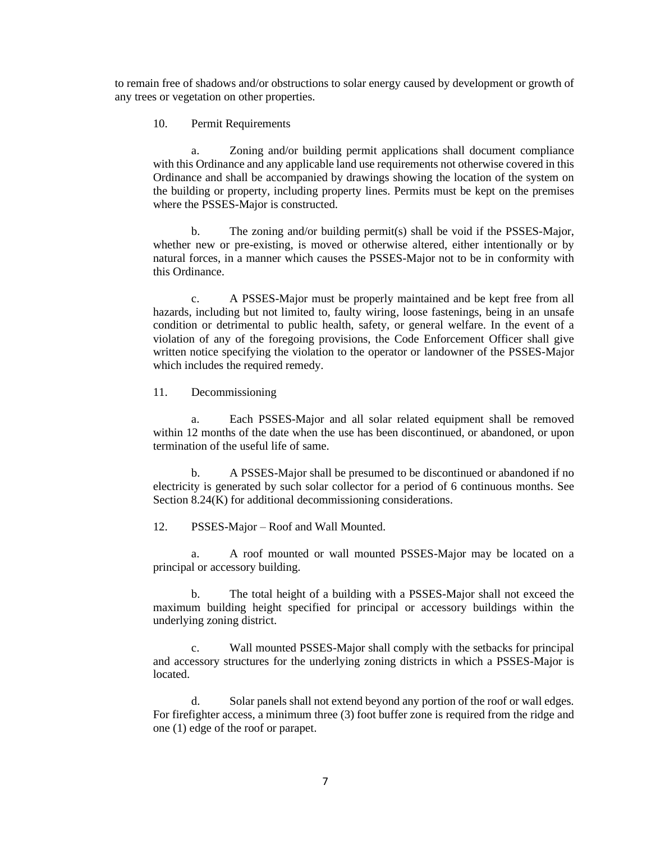to remain free of shadows and/or obstructions to solar energy caused by development or growth of any trees or vegetation on other properties.

#### 10. Permit Requirements

a. Zoning and/or building permit applications shall document compliance with this Ordinance and any applicable land use requirements not otherwise covered in this Ordinance and shall be accompanied by drawings showing the location of the system on the building or property, including property lines. Permits must be kept on the premises where the PSSES-Major is constructed.

b. The zoning and/or building permit(s) shall be void if the PSSES-Major, whether new or pre-existing, is moved or otherwise altered, either intentionally or by natural forces, in a manner which causes the PSSES-Major not to be in conformity with this Ordinance.

c. A PSSES-Major must be properly maintained and be kept free from all hazards, including but not limited to, faulty wiring, loose fastenings, being in an unsafe condition or detrimental to public health, safety, or general welfare. In the event of a violation of any of the foregoing provisions, the Code Enforcement Officer shall give written notice specifying the violation to the operator or landowner of the PSSES-Major which includes the required remedy.

11. Decommissioning

a. Each PSSES-Major and all solar related equipment shall be removed within 12 months of the date when the use has been discontinued, or abandoned, or upon termination of the useful life of same.

b. A PSSES-Major shall be presumed to be discontinued or abandoned if no electricity is generated by such solar collector for a period of 6 continuous months. See Section 8.24(K) for additional decommissioning considerations.

12. PSSES-Major – Roof and Wall Mounted.

a. A roof mounted or wall mounted PSSES-Major may be located on a principal or accessory building.

b. The total height of a building with a PSSES-Major shall not exceed the maximum building height specified for principal or accessory buildings within the underlying zoning district.

c. Wall mounted PSSES-Major shall comply with the setbacks for principal and accessory structures for the underlying zoning districts in which a PSSES-Major is located.

d. Solar panels shall not extend beyond any portion of the roof or wall edges. For firefighter access, a minimum three (3) foot buffer zone is required from the ridge and one (1) edge of the roof or parapet.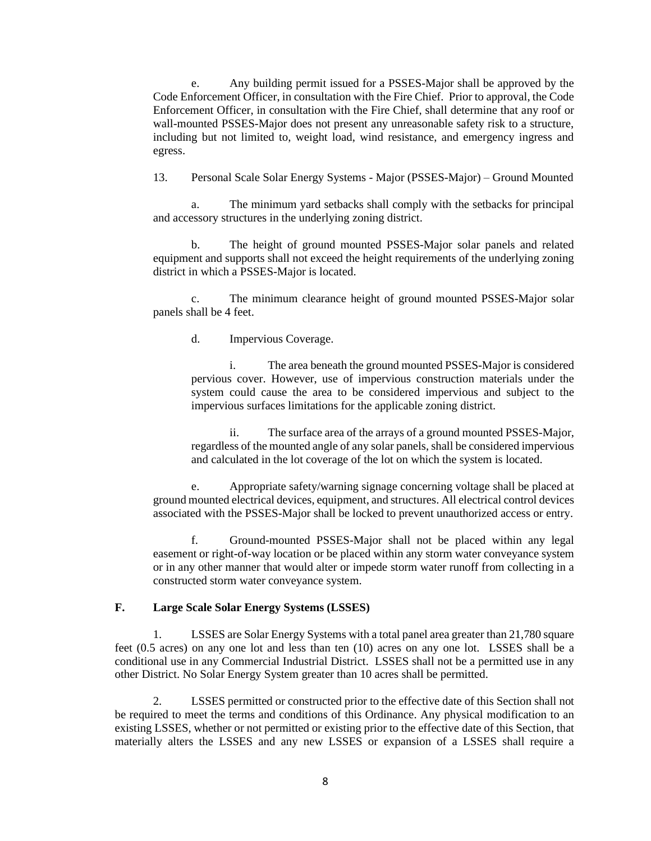e. Any building permit issued for a PSSES-Major shall be approved by the Code Enforcement Officer, in consultation with the Fire Chief. Prior to approval, the Code Enforcement Officer, in consultation with the Fire Chief, shall determine that any roof or wall-mounted PSSES-Major does not present any unreasonable safety risk to a structure, including but not limited to, weight load, wind resistance, and emergency ingress and egress.

13. Personal Scale Solar Energy Systems - Major (PSSES-Major) – Ground Mounted

a. The minimum yard setbacks shall comply with the setbacks for principal and accessory structures in the underlying zoning district.

b. The height of ground mounted PSSES-Major solar panels and related equipment and supports shall not exceed the height requirements of the underlying zoning district in which a PSSES-Major is located.

c. The minimum clearance height of ground mounted PSSES-Major solar panels shall be 4 feet.

d. Impervious Coverage.

i. The area beneath the ground mounted PSSES-Major is considered pervious cover. However, use of impervious construction materials under the system could cause the area to be considered impervious and subject to the impervious surfaces limitations for the applicable zoning district.

ii. The surface area of the arrays of a ground mounted PSSES-Major, regardless of the mounted angle of any solar panels, shall be considered impervious and calculated in the lot coverage of the lot on which the system is located.

e. Appropriate safety/warning signage concerning voltage shall be placed at ground mounted electrical devices, equipment, and structures. All electrical control devices associated with the PSSES-Major shall be locked to prevent unauthorized access or entry.

f. Ground-mounted PSSES-Major shall not be placed within any legal easement or right-of-way location or be placed within any storm water conveyance system or in any other manner that would alter or impede storm water runoff from collecting in a constructed storm water conveyance system.

## **F. Large Scale Solar Energy Systems (LSSES)**

1. LSSES are Solar Energy Systems with a total panel area greater than 21,780 square feet (0.5 acres) on any one lot and less than ten (10) acres on any one lot. LSSES shall be a conditional use in any Commercial Industrial District. LSSES shall not be a permitted use in any other District. No Solar Energy System greater than 10 acres shall be permitted.

2. LSSES permitted or constructed prior to the effective date of this Section shall not be required to meet the terms and conditions of this Ordinance. Any physical modification to an existing LSSES, whether or not permitted or existing prior to the effective date of this Section, that materially alters the LSSES and any new LSSES or expansion of a LSSES shall require a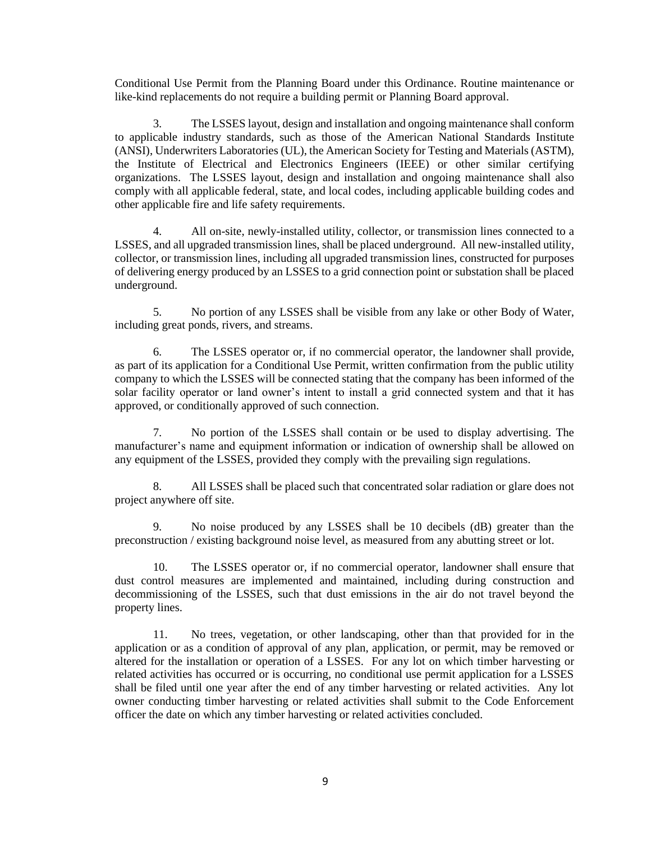Conditional Use Permit from the Planning Board under this Ordinance. Routine maintenance or like-kind replacements do not require a building permit or Planning Board approval.

3. The LSSES layout, design and installation and ongoing maintenance shall conform to applicable industry standards, such as those of the American National Standards Institute (ANSI), Underwriters Laboratories (UL), the American Society for Testing and Materials (ASTM), the Institute of Electrical and Electronics Engineers (IEEE) or other similar certifying organizations. The LSSES layout, design and installation and ongoing maintenance shall also comply with all applicable federal, state, and local codes, including applicable building codes and other applicable fire and life safety requirements.

4. All on-site, newly-installed utility, collector, or transmission lines connected to a LSSES, and all upgraded transmission lines, shall be placed underground. All new-installed utility, collector, or transmission lines, including all upgraded transmission lines, constructed for purposes of delivering energy produced by an LSSES to a grid connection point or substation shall be placed underground.

5. No portion of any LSSES shall be visible from any lake or other Body of Water, including great ponds, rivers, and streams.

6. The LSSES operator or, if no commercial operator, the landowner shall provide, as part of its application for a Conditional Use Permit, written confirmation from the public utility company to which the LSSES will be connected stating that the company has been informed of the solar facility operator or land owner's intent to install a grid connected system and that it has approved, or conditionally approved of such connection.

7. No portion of the LSSES shall contain or be used to display advertising. The manufacturer's name and equipment information or indication of ownership shall be allowed on any equipment of the LSSES, provided they comply with the prevailing sign regulations.

8. All LSSES shall be placed such that concentrated solar radiation or glare does not project anywhere off site.

9. No noise produced by any LSSES shall be 10 decibels (dB) greater than the preconstruction / existing background noise level, as measured from any abutting street or lot.

10. The LSSES operator or, if no commercial operator, landowner shall ensure that dust control measures are implemented and maintained, including during construction and decommissioning of the LSSES, such that dust emissions in the air do not travel beyond the property lines.

11. No trees, vegetation, or other landscaping, other than that provided for in the application or as a condition of approval of any plan, application, or permit, may be removed or altered for the installation or operation of a LSSES. For any lot on which timber harvesting or related activities has occurred or is occurring, no conditional use permit application for a LSSES shall be filed until one year after the end of any timber harvesting or related activities. Any lot owner conducting timber harvesting or related activities shall submit to the Code Enforcement officer the date on which any timber harvesting or related activities concluded.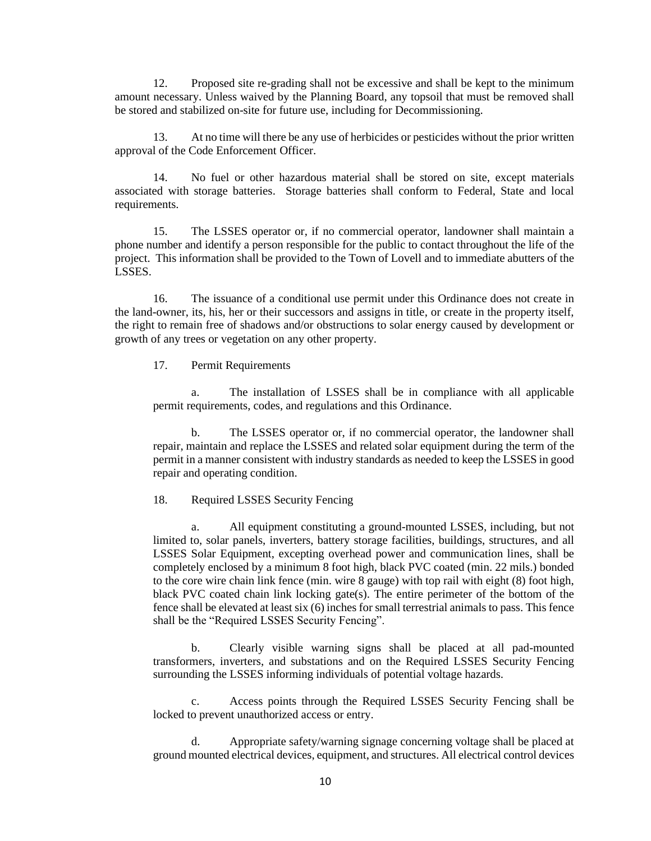12. Proposed site re-grading shall not be excessive and shall be kept to the minimum amount necessary. Unless waived by the Planning Board, any topsoil that must be removed shall be stored and stabilized on-site for future use, including for Decommissioning.

13. At no time will there be any use of herbicides or pesticides without the prior written approval of the Code Enforcement Officer.

14. No fuel or other hazardous material shall be stored on site, except materials associated with storage batteries. Storage batteries shall conform to Federal, State and local requirements.

15. The LSSES operator or, if no commercial operator, landowner shall maintain a phone number and identify a person responsible for the public to contact throughout the life of the project. This information shall be provided to the Town of Lovell and to immediate abutters of the LSSES.

16. The issuance of a conditional use permit under this Ordinance does not create in the land-owner, its, his, her or their successors and assigns in title, or create in the property itself, the right to remain free of shadows and/or obstructions to solar energy caused by development or growth of any trees or vegetation on any other property.

17. Permit Requirements

a. The installation of LSSES shall be in compliance with all applicable permit requirements, codes, and regulations and this Ordinance.

b. The LSSES operator or, if no commercial operator, the landowner shall repair, maintain and replace the LSSES and related solar equipment during the term of the permit in a manner consistent with industry standards as needed to keep the LSSES in good repair and operating condition.

18. Required LSSES Security Fencing

a. All equipment constituting a ground-mounted LSSES, including, but not limited to, solar panels, inverters, battery storage facilities, buildings, structures, and all LSSES Solar Equipment, excepting overhead power and communication lines, shall be completely enclosed by a minimum 8 foot high, black PVC coated (min. 22 mils.) bonded to the core wire chain link fence (min. wire 8 gauge) with top rail with eight (8) foot high, black PVC coated chain link locking gate(s). The entire perimeter of the bottom of the fence shall be elevated at least six (6) inches for small terrestrial animals to pass. This fence shall be the "Required LSSES Security Fencing".

b. Clearly visible warning signs shall be placed at all pad-mounted transformers, inverters, and substations and on the Required LSSES Security Fencing surrounding the LSSES informing individuals of potential voltage hazards.

c. Access points through the Required LSSES Security Fencing shall be locked to prevent unauthorized access or entry.

d. Appropriate safety/warning signage concerning voltage shall be placed at ground mounted electrical devices, equipment, and structures. All electrical control devices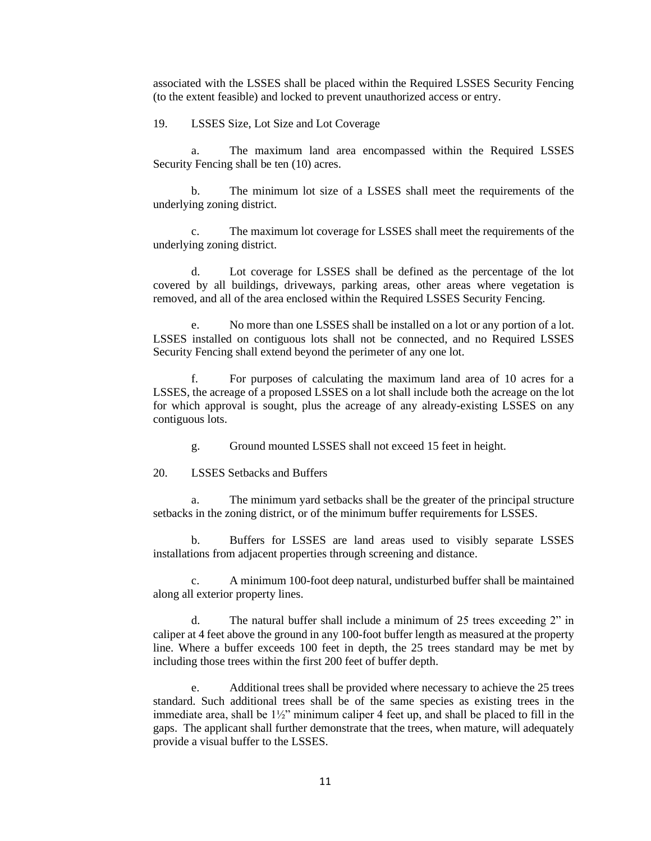associated with the LSSES shall be placed within the Required LSSES Security Fencing (to the extent feasible) and locked to prevent unauthorized access or entry.

19. LSSES Size, Lot Size and Lot Coverage

a. The maximum land area encompassed within the Required LSSES Security Fencing shall be ten (10) acres.

b. The minimum lot size of a LSSES shall meet the requirements of the underlying zoning district.

c. The maximum lot coverage for LSSES shall meet the requirements of the underlying zoning district.

d. Lot coverage for LSSES shall be defined as the percentage of the lot covered by all buildings, driveways, parking areas, other areas where vegetation is removed, and all of the area enclosed within the Required LSSES Security Fencing.

e. No more than one LSSES shall be installed on a lot or any portion of a lot. LSSES installed on contiguous lots shall not be connected, and no Required LSSES Security Fencing shall extend beyond the perimeter of any one lot.

f. For purposes of calculating the maximum land area of 10 acres for a LSSES, the acreage of a proposed LSSES on a lot shall include both the acreage on the lot for which approval is sought, plus the acreage of any already-existing LSSES on any contiguous lots.

g. Ground mounted LSSES shall not exceed 15 feet in height.

20. LSSES Setbacks and Buffers

a. The minimum yard setbacks shall be the greater of the principal structure setbacks in the zoning district, or of the minimum buffer requirements for LSSES.

b. Buffers for LSSES are land areas used to visibly separate LSSES installations from adjacent properties through screening and distance.

c. A minimum 100-foot deep natural, undisturbed buffer shall be maintained along all exterior property lines.

d. The natural buffer shall include a minimum of 25 trees exceeding 2" in caliper at 4 feet above the ground in any 100-foot buffer length as measured at the property line. Where a buffer exceeds 100 feet in depth, the 25 trees standard may be met by including those trees within the first 200 feet of buffer depth.

e. Additional trees shall be provided where necessary to achieve the 25 trees standard. Such additional trees shall be of the same species as existing trees in the immediate area, shall be  $1\frac{1}{2}$ " minimum caliper 4 feet up, and shall be placed to fill in the gaps. The applicant shall further demonstrate that the trees, when mature, will adequately provide a visual buffer to the LSSES.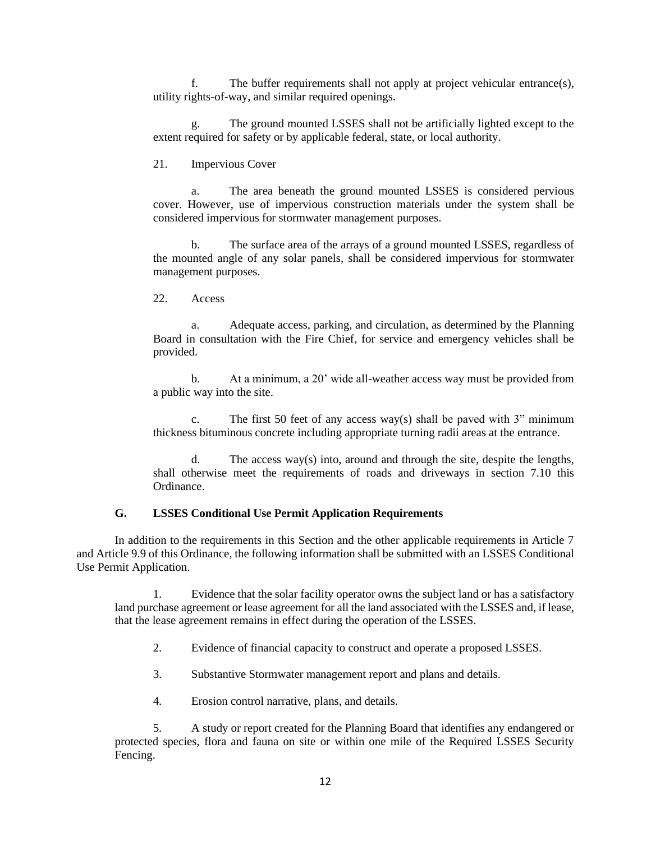f. The buffer requirements shall not apply at project vehicular entrance(s), utility rights-of-way, and similar required openings.

g. The ground mounted LSSES shall not be artificially lighted except to the extent required for safety or by applicable federal, state, or local authority.

21. Impervious Cover

a. The area beneath the ground mounted LSSES is considered pervious cover. However, use of impervious construction materials under the system shall be considered impervious for stormwater management purposes.

b. The surface area of the arrays of a ground mounted LSSES, regardless of the mounted angle of any solar panels, shall be considered impervious for stormwater management purposes.

22. Access

a. Adequate access, parking, and circulation, as determined by the Planning Board in consultation with the Fire Chief, for service and emergency vehicles shall be provided.

b. At a minimum, a 20' wide all-weather access way must be provided from a public way into the site.

c. The first 50 feet of any access way(s) shall be paved with 3" minimum thickness bituminous concrete including appropriate turning radii areas at the entrance.

d. The access way(s) into, around and through the site, despite the lengths, shall otherwise meet the requirements of roads and driveways in section 7.10 this Ordinance.

#### **G. LSSES Conditional Use Permit Application Requirements**

In addition to the requirements in this Section and the other applicable requirements in Article 7 and Article 9.9 of this Ordinance, the following information shall be submitted with an LSSES Conditional Use Permit Application.

1. Evidence that the solar facility operator owns the subject land or has a satisfactory land purchase agreement or lease agreement for all the land associated with the LSSES and, if lease, that the lease agreement remains in effect during the operation of the LSSES.

2. Evidence of financial capacity to construct and operate a proposed LSSES.

3. Substantive Stormwater management report and plans and details.

4. Erosion control narrative, plans, and details.

5. A study or report created for the Planning Board that identifies any endangered or protected species, flora and fauna on site or within one mile of the Required LSSES Security Fencing.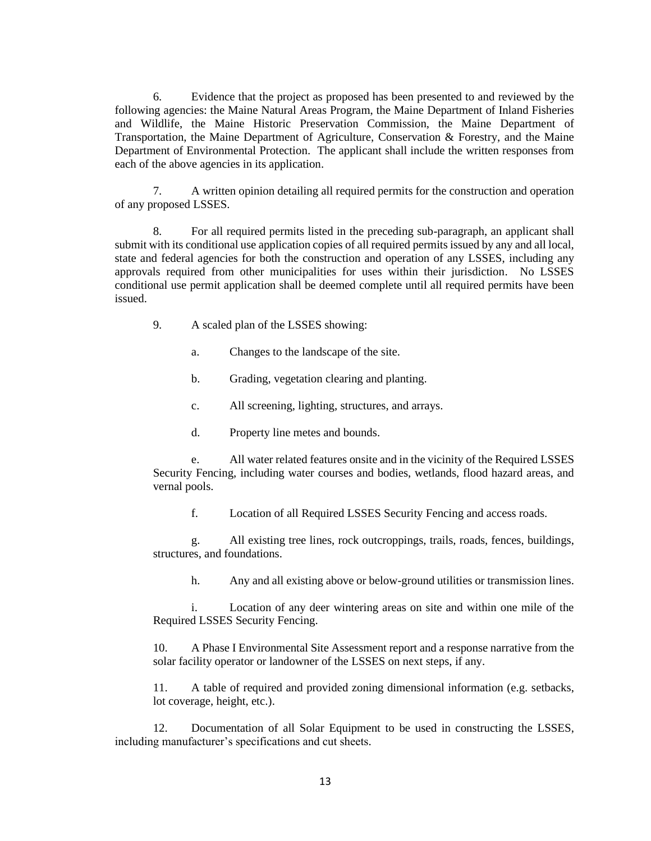6. Evidence that the project as proposed has been presented to and reviewed by the following agencies: the Maine Natural Areas Program, the Maine Department of Inland Fisheries and Wildlife, the Maine Historic Preservation Commission, the Maine Department of Transportation, the Maine Department of Agriculture, Conservation & Forestry, and the Maine Department of Environmental Protection. The applicant shall include the written responses from each of the above agencies in its application.

7. A written opinion detailing all required permits for the construction and operation of any proposed LSSES.

8. For all required permits listed in the preceding sub-paragraph, an applicant shall submit with its conditional use application copies of all required permits issued by any and all local, state and federal agencies for both the construction and operation of any LSSES, including any approvals required from other municipalities for uses within their jurisdiction. No LSSES conditional use permit application shall be deemed complete until all required permits have been issued.

- 9. A scaled plan of the LSSES showing:
	- a. Changes to the landscape of the site.
	- b. Grading, vegetation clearing and planting.
	- c. All screening, lighting, structures, and arrays.
	- d. Property line metes and bounds.

e. All water related features onsite and in the vicinity of the Required LSSES Security Fencing, including water courses and bodies, wetlands, flood hazard areas, and vernal pools.

f. Location of all Required LSSES Security Fencing and access roads.

g. All existing tree lines, rock outcroppings, trails, roads, fences, buildings, structures, and foundations.

h. Any and all existing above or below-ground utilities or transmission lines.

i. Location of any deer wintering areas on site and within one mile of the Required LSSES Security Fencing.

10. A Phase I Environmental Site Assessment report and a response narrative from the solar facility operator or landowner of the LSSES on next steps, if any.

11. A table of required and provided zoning dimensional information (e.g. setbacks, lot coverage, height, etc.).

12. Documentation of all Solar Equipment to be used in constructing the LSSES, including manufacturer's specifications and cut sheets.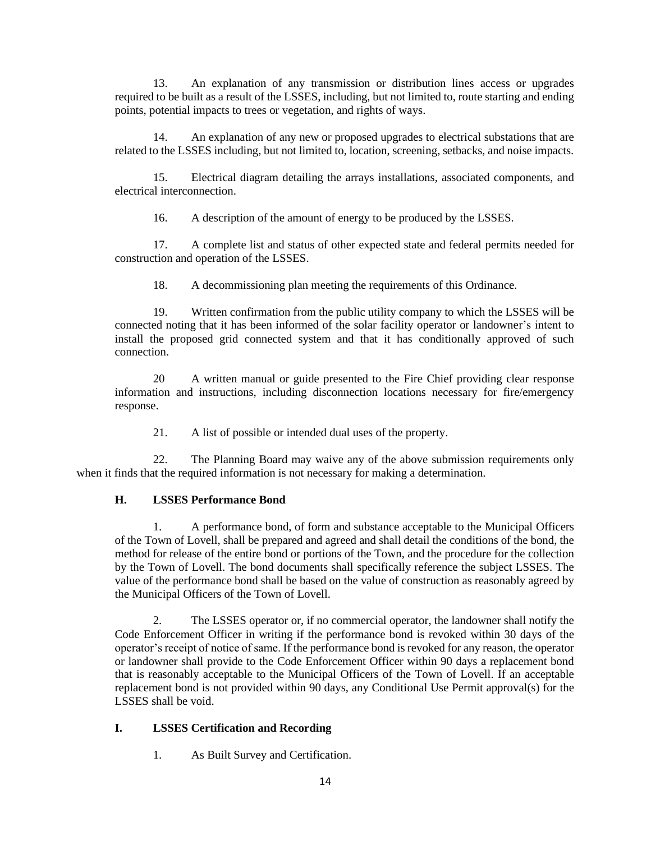13. An explanation of any transmission or distribution lines access or upgrades required to be built as a result of the LSSES, including, but not limited to, route starting and ending points, potential impacts to trees or vegetation, and rights of ways.

14. An explanation of any new or proposed upgrades to electrical substations that are related to the LSSES including, but not limited to, location, screening, setbacks, and noise impacts.

15. Electrical diagram detailing the arrays installations, associated components, and electrical interconnection.

16. A description of the amount of energy to be produced by the LSSES.

17. A complete list and status of other expected state and federal permits needed for construction and operation of the LSSES.

18. A decommissioning plan meeting the requirements of this Ordinance.

19. Written confirmation from the public utility company to which the LSSES will be connected noting that it has been informed of the solar facility operator or landowner's intent to install the proposed grid connected system and that it has conditionally approved of such connection.

20 A written manual or guide presented to the Fire Chief providing clear response information and instructions, including disconnection locations necessary for fire/emergency response.

21. A list of possible or intended dual uses of the property.

22. The Planning Board may waive any of the above submission requirements only when it finds that the required information is not necessary for making a determination.

## **H. LSSES Performance Bond**

1. A performance bond, of form and substance acceptable to the Municipal Officers of the Town of Lovell, shall be prepared and agreed and shall detail the conditions of the bond, the method for release of the entire bond or portions of the Town, and the procedure for the collection by the Town of Lovell. The bond documents shall specifically reference the subject LSSES. The value of the performance bond shall be based on the value of construction as reasonably agreed by the Municipal Officers of the Town of Lovell.

2. The LSSES operator or, if no commercial operator, the landowner shall notify the Code Enforcement Officer in writing if the performance bond is revoked within 30 days of the operator's receipt of notice of same. If the performance bond is revoked for any reason, the operator or landowner shall provide to the Code Enforcement Officer within 90 days a replacement bond that is reasonably acceptable to the Municipal Officers of the Town of Lovell. If an acceptable replacement bond is not provided within 90 days, any Conditional Use Permit approval(s) for the LSSES shall be void.

## **I. LSSES Certification and Recording**

1. As Built Survey and Certification.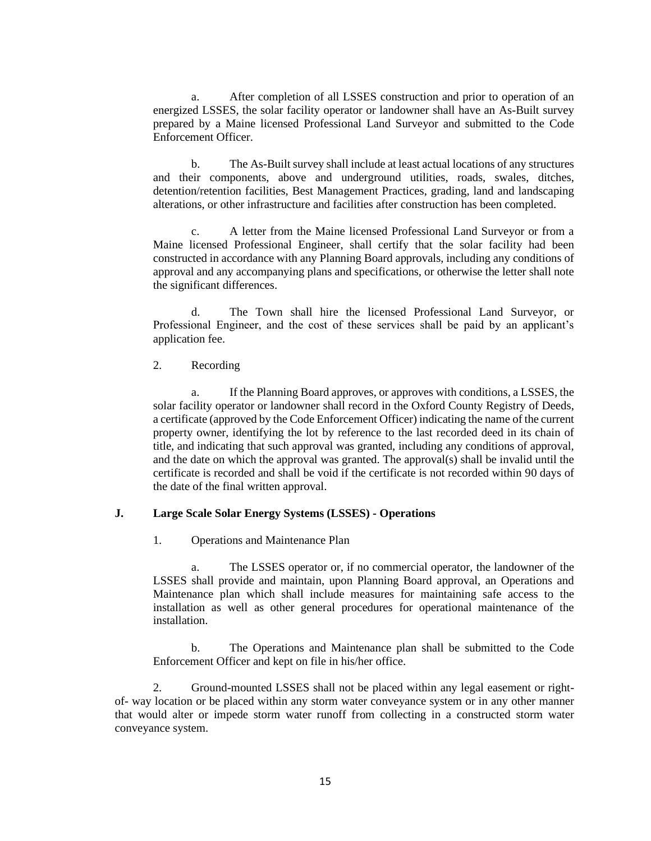a. After completion of all LSSES construction and prior to operation of an energized LSSES, the solar facility operator or landowner shall have an As-Built survey prepared by a Maine licensed Professional Land Surveyor and submitted to the Code Enforcement Officer.

b. The As-Built survey shall include at least actual locations of any structures and their components, above and underground utilities, roads, swales, ditches, detention/retention facilities, Best Management Practices, grading, land and landscaping alterations, or other infrastructure and facilities after construction has been completed.

c. A letter from the Maine licensed Professional Land Surveyor or from a Maine licensed Professional Engineer, shall certify that the solar facility had been constructed in accordance with any Planning Board approvals, including any conditions of approval and any accompanying plans and specifications, or otherwise the letter shall note the significant differences.

d. The Town shall hire the licensed Professional Land Surveyor, or Professional Engineer, and the cost of these services shall be paid by an applicant's application fee.

### 2. Recording

a. If the Planning Board approves, or approves with conditions, a LSSES, the solar facility operator or landowner shall record in the Oxford County Registry of Deeds, a certificate (approved by the Code Enforcement Officer) indicating the name of the current property owner, identifying the lot by reference to the last recorded deed in its chain of title, and indicating that such approval was granted, including any conditions of approval, and the date on which the approval was granted. The approval(s) shall be invalid until the certificate is recorded and shall be void if the certificate is not recorded within 90 days of the date of the final written approval.

#### **J. Large Scale Solar Energy Systems (LSSES) - Operations**

1. Operations and Maintenance Plan

a. The LSSES operator or, if no commercial operator, the landowner of the LSSES shall provide and maintain, upon Planning Board approval, an Operations and Maintenance plan which shall include measures for maintaining safe access to the installation as well as other general procedures for operational maintenance of the installation.

b. The Operations and Maintenance plan shall be submitted to the Code Enforcement Officer and kept on file in his/her office.

2. Ground-mounted LSSES shall not be placed within any legal easement or rightof- way location or be placed within any storm water conveyance system or in any other manner that would alter or impede storm water runoff from collecting in a constructed storm water conveyance system.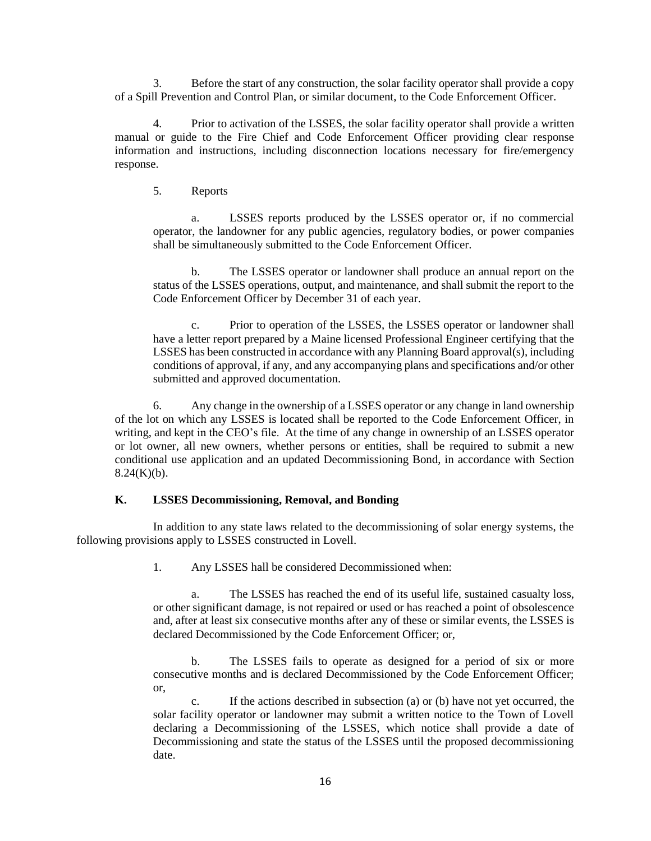3. Before the start of any construction, the solar facility operator shall provide a copy of a Spill Prevention and Control Plan, or similar document, to the Code Enforcement Officer.

4. Prior to activation of the LSSES, the solar facility operator shall provide a written manual or guide to the Fire Chief and Code Enforcement Officer providing clear response information and instructions, including disconnection locations necessary for fire/emergency response.

### 5. Reports

a. LSSES reports produced by the LSSES operator or, if no commercial operator, the landowner for any public agencies, regulatory bodies, or power companies shall be simultaneously submitted to the Code Enforcement Officer.

b. The LSSES operator or landowner shall produce an annual report on the status of the LSSES operations, output, and maintenance, and shall submit the report to the Code Enforcement Officer by December 31 of each year.

c. Prior to operation of the LSSES, the LSSES operator or landowner shall have a letter report prepared by a Maine licensed Professional Engineer certifying that the LSSES has been constructed in accordance with any Planning Board approval(s), including conditions of approval, if any, and any accompanying plans and specifications and/or other submitted and approved documentation.

6. Any change in the ownership of a LSSES operator or any change in land ownership of the lot on which any LSSES is located shall be reported to the Code Enforcement Officer, in writing, and kept in the CEO's file. At the time of any change in ownership of an LSSES operator or lot owner, all new owners, whether persons or entities, shall be required to submit a new conditional use application and an updated Decommissioning Bond, in accordance with Section  $8.24(K)(b)$ .

## **K. LSSES Decommissioning, Removal, and Bonding**

In addition to any state laws related to the decommissioning of solar energy systems, the following provisions apply to LSSES constructed in Lovell.

1. Any LSSES hall be considered Decommissioned when:

a. The LSSES has reached the end of its useful life, sustained casualty loss, or other significant damage, is not repaired or used or has reached a point of obsolescence and, after at least six consecutive months after any of these or similar events, the LSSES is declared Decommissioned by the Code Enforcement Officer; or,

b. The LSSES fails to operate as designed for a period of six or more consecutive months and is declared Decommissioned by the Code Enforcement Officer; or,

c. If the actions described in subsection (a) or (b) have not yet occurred, the solar facility operator or landowner may submit a written notice to the Town of Lovell declaring a Decommissioning of the LSSES, which notice shall provide a date of Decommissioning and state the status of the LSSES until the proposed decommissioning date.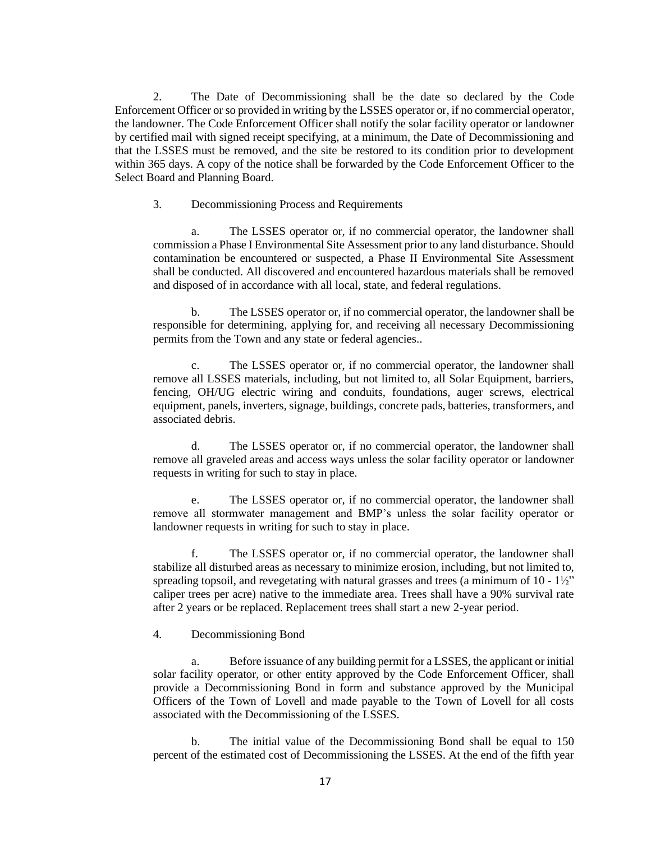2. The Date of Decommissioning shall be the date so declared by the Code Enforcement Officer or so provided in writing by the LSSES operator or, if no commercial operator, the landowner. The Code Enforcement Officer shall notify the solar facility operator or landowner by certified mail with signed receipt specifying, at a minimum, the Date of Decommissioning and that the LSSES must be removed, and the site be restored to its condition prior to development within 365 days. A copy of the notice shall be forwarded by the Code Enforcement Officer to the Select Board and Planning Board.

#### 3. Decommissioning Process and Requirements

a. The LSSES operator or, if no commercial operator, the landowner shall commission a Phase I Environmental Site Assessment prior to any land disturbance. Should contamination be encountered or suspected, a Phase II Environmental Site Assessment shall be conducted. All discovered and encountered hazardous materials shall be removed and disposed of in accordance with all local, state, and federal regulations.

b. The LSSES operator or, if no commercial operator, the landowner shall be responsible for determining, applying for, and receiving all necessary Decommissioning permits from the Town and any state or federal agencies..

c. The LSSES operator or, if no commercial operator, the landowner shall remove all LSSES materials, including, but not limited to, all Solar Equipment, barriers, fencing, OH/UG electric wiring and conduits, foundations, auger screws, electrical equipment, panels, inverters, signage, buildings, concrete pads, batteries, transformers, and associated debris.

d. The LSSES operator or, if no commercial operator, the landowner shall remove all graveled areas and access ways unless the solar facility operator or landowner requests in writing for such to stay in place.

e. The LSSES operator or, if no commercial operator, the landowner shall remove all stormwater management and BMP's unless the solar facility operator or landowner requests in writing for such to stay in place.

f. The LSSES operator or, if no commercial operator, the landowner shall stabilize all disturbed areas as necessary to minimize erosion, including, but not limited to, spreading topsoil, and revegetating with natural grasses and trees (a minimum of  $10 - 1\frac{1}{2}$ ") caliper trees per acre) native to the immediate area. Trees shall have a 90% survival rate after 2 years or be replaced. Replacement trees shall start a new 2-year period.

4. Decommissioning Bond

a. Before issuance of any building permit for a LSSES, the applicant or initial solar facility operator, or other entity approved by the Code Enforcement Officer, shall provide a Decommissioning Bond in form and substance approved by the Municipal Officers of the Town of Lovell and made payable to the Town of Lovell for all costs associated with the Decommissioning of the LSSES.

b. The initial value of the Decommissioning Bond shall be equal to 150 percent of the estimated cost of Decommissioning the LSSES. At the end of the fifth year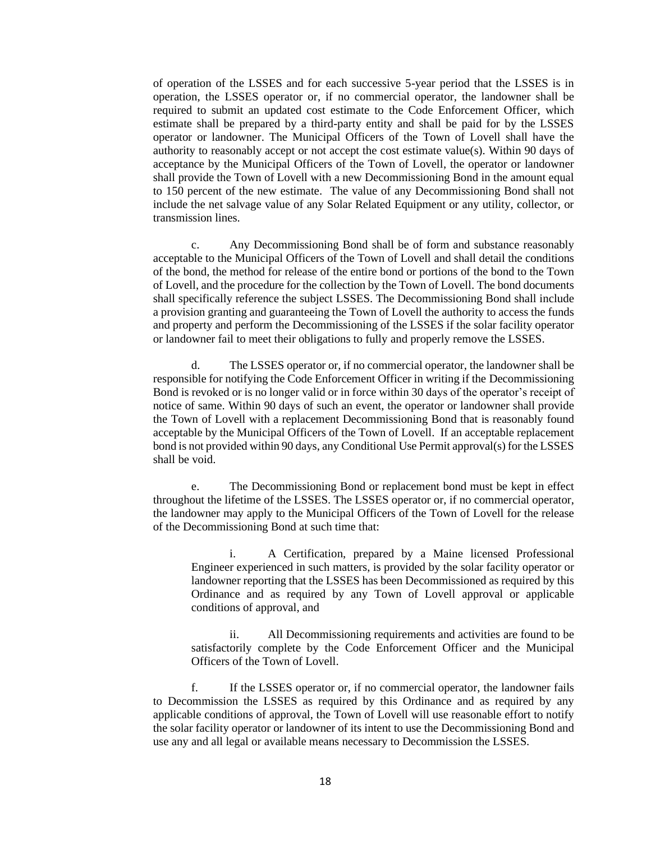of operation of the LSSES and for each successive 5-year period that the LSSES is in operation, the LSSES operator or, if no commercial operator, the landowner shall be required to submit an updated cost estimate to the Code Enforcement Officer, which estimate shall be prepared by a third-party entity and shall be paid for by the LSSES operator or landowner. The Municipal Officers of the Town of Lovell shall have the authority to reasonably accept or not accept the cost estimate value $(s)$ . Within 90 days of acceptance by the Municipal Officers of the Town of Lovell, the operator or landowner shall provide the Town of Lovell with a new Decommissioning Bond in the amount equal to 150 percent of the new estimate. The value of any Decommissioning Bond shall not include the net salvage value of any Solar Related Equipment or any utility, collector, or transmission lines.

c. Any Decommissioning Bond shall be of form and substance reasonably acceptable to the Municipal Officers of the Town of Lovell and shall detail the conditions of the bond, the method for release of the entire bond or portions of the bond to the Town of Lovell, and the procedure for the collection by the Town of Lovell. The bond documents shall specifically reference the subject LSSES. The Decommissioning Bond shall include a provision granting and guaranteeing the Town of Lovell the authority to access the funds and property and perform the Decommissioning of the LSSES if the solar facility operator or landowner fail to meet their obligations to fully and properly remove the LSSES.

d. The LSSES operator or, if no commercial operator, the landowner shall be responsible for notifying the Code Enforcement Officer in writing if the Decommissioning Bond is revoked or is no longer valid or in force within 30 days of the operator's receipt of notice of same. Within 90 days of such an event, the operator or landowner shall provide the Town of Lovell with a replacement Decommissioning Bond that is reasonably found acceptable by the Municipal Officers of the Town of Lovell. If an acceptable replacement bond is not provided within 90 days, any Conditional Use Permit approval(s) for the LSSES shall be void.

e. The Decommissioning Bond or replacement bond must be kept in effect throughout the lifetime of the LSSES. The LSSES operator or, if no commercial operator, the landowner may apply to the Municipal Officers of the Town of Lovell for the release of the Decommissioning Bond at such time that:

i. A Certification, prepared by a Maine licensed Professional Engineer experienced in such matters, is provided by the solar facility operator or landowner reporting that the LSSES has been Decommissioned as required by this Ordinance and as required by any Town of Lovell approval or applicable conditions of approval, and

ii. All Decommissioning requirements and activities are found to be satisfactorily complete by the Code Enforcement Officer and the Municipal Officers of the Town of Lovell.

f. If the LSSES operator or, if no commercial operator, the landowner fails to Decommission the LSSES as required by this Ordinance and as required by any applicable conditions of approval, the Town of Lovell will use reasonable effort to notify the solar facility operator or landowner of its intent to use the Decommissioning Bond and use any and all legal or available means necessary to Decommission the LSSES.